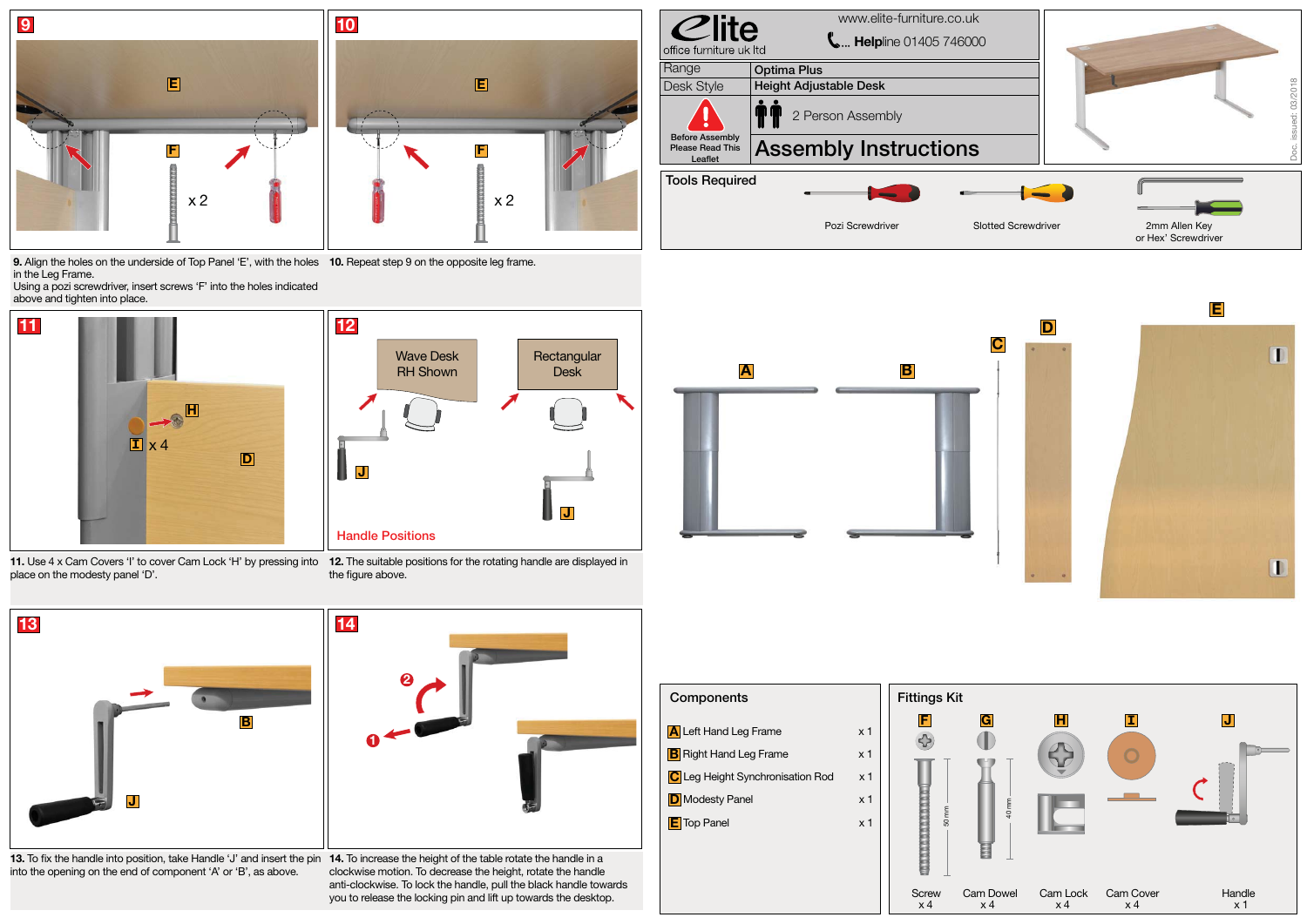



**9.** Align the holes on the underside of Top Panel 'E', with the holes **10.** Repeat step 9 on the opposite leg frame. in the Leg Frame.

13. To fix the handle into position, take Handle 'J' and insert the pin 14. To increase the height of the table rotate the handle in a into the opening on the end of component 'A' or 'B', as above.

Using a pozi screwdriver, insert screws 'F' into the holes indicated above and tighten into place.



| Components                                                                                                                                 |                                                                                        | <b>Fittings Kit</b> |       |
|--------------------------------------------------------------------------------------------------------------------------------------------|----------------------------------------------------------------------------------------|---------------------|-------|
| A Left Hand Leg Frame<br><b>B</b> Right Hand Leg Frame<br>C Leg Height Synchronisation Rod<br><b>D</b> Modesty Panel<br><b>E</b> Top Panel | x <sub>1</sub><br>x <sub>1</sub><br>x <sub>1</sub><br>x <sub>1</sub><br>x <sub>1</sub> | F<br>50 mm          | G     |
|                                                                                                                                            |                                                                                        |                     |       |
|                                                                                                                                            |                                                                                        | Screw               | Cam I |

place on the modesty panel 'D'.

**11.** Use 4 x Cam Covers 'I' to cover Cam Lock 'H' by pressing into **12.** The suitable positions for the rotating handle are displayed in the figure above.







clockwise motion. To decrease the height, rotate the handle anti-clockwise. To lock the handle, pull the black handle towards you to release the locking pin and lift up towards the desktop.